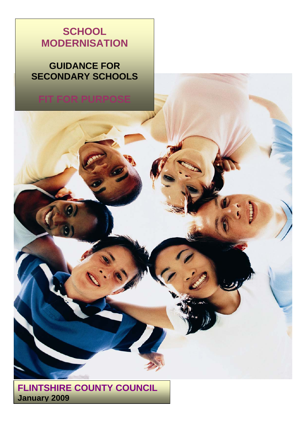# **SCHOOL MODERNISATION**

# **GUIDANCE FOR SECONDARY SCHOOLS**

# **FIT FOR PURPOSE**

**FLINTSHIRE COUNTY COUNCIL January 2009**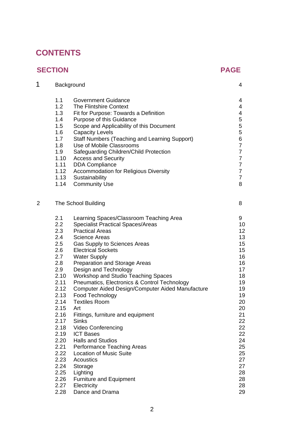# **CONTENTS**

## **SECTION PAGE**

 $\overline{2}$ 

| 1              |                                                                                                                                                                                                                     | Background                                                                                                                                                                                                                                                                                                                                                                                                                                                                                                                                                                                                                                                                                                                                                                          | 4                                                                                                                                                                                |
|----------------|---------------------------------------------------------------------------------------------------------------------------------------------------------------------------------------------------------------------|-------------------------------------------------------------------------------------------------------------------------------------------------------------------------------------------------------------------------------------------------------------------------------------------------------------------------------------------------------------------------------------------------------------------------------------------------------------------------------------------------------------------------------------------------------------------------------------------------------------------------------------------------------------------------------------------------------------------------------------------------------------------------------------|----------------------------------------------------------------------------------------------------------------------------------------------------------------------------------|
|                | 1.1<br>1.2<br>1.3<br>1.4<br>1.5<br>1.6<br>1.7<br>1.8<br>1.9<br>1.10<br>1.11<br>1.12<br>1.14                                                                                                                         | <b>Government Guidance</b><br>The Flintshire Context<br>Fit for Purpose: Towards a Definition<br>Purpose of this Guidance<br>Scope and Applicability of this Document<br><b>Capacity Levels</b><br><b>Staff Numbers (Teaching and Learning Support)</b><br>Use of Mobile Classrooms<br>Safeguarding Children/Child Protection<br><b>Access and Security</b><br><b>DDA Compliance</b><br><b>Accommodation for Religious Diversity</b><br>1.13 Sustainability<br><b>Community Use</b>                                                                                                                                                                                                                                                                                                 | 4<br>4<br>4<br>5<br>5<br>5<br>6<br>$\overline{7}$<br>$\overline{7}$<br>$\overline{7}$<br>$\overline{7}$<br>$\overline{7}$<br>$\overline{7}$<br>8                                 |
| $\overline{2}$ | The School Building                                                                                                                                                                                                 |                                                                                                                                                                                                                                                                                                                                                                                                                                                                                                                                                                                                                                                                                                                                                                                     | 8                                                                                                                                                                                |
|                | 2.1<br>2.2<br>2.3<br>2.4<br>2.5<br>2.6<br>2.7<br>2.8<br>2.9<br>2.10<br>2.11<br>2.12<br>2.13<br>2.14<br>2.15<br>2.16<br>2.17<br>2.18<br>2.19<br>2.20<br>2.21<br>2.22<br>2.23<br>2.24<br>2.25<br>2.26<br>2.27<br>2.28 | Learning Spaces/Classroom Teaching Area<br><b>Specialist Practical Spaces/Areas</b><br><b>Practical Areas</b><br><b>Science Areas</b><br>Gas Supply to Sciences Areas<br><b>Electrical Sockets</b><br><b>Water Supply</b><br>Preparation and Storage Areas<br>Design and Technology<br>Workshop and Studio Teaching Spaces<br>Pneumatics, Electronics & Control Technology<br>Computer Aided Design/Computer Aided Manufacture<br>Food Technology<br><b>Textiles Room</b><br>Art<br>Fittings, furniture and equipment<br><b>Sinks</b><br><b>Video Conferencing</b><br><b>ICT Bases</b><br><b>Halls and Studios</b><br>Performance Teaching Areas<br><b>Location of Music Suite</b><br>Acoustics<br>Storage<br>Lighting<br>Furniture and Equipment<br>Electricity<br>Dance and Drama | 9<br>10<br>12 <sub>2</sub><br>13<br>15<br>15<br>16<br>16<br>17<br>18<br>19<br>19<br>19<br>20<br>20<br>21<br>22<br>22<br>22<br>24<br>25<br>25<br>27<br>27<br>28<br>28<br>28<br>29 |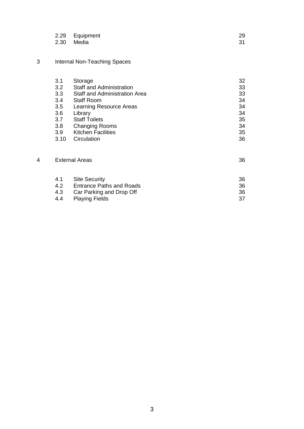| 2.29 Equipment | 29 |
|----------------|----|
| 2.30 Media     | 31 |

## 3 Internal Non-Teaching Spaces

|   | 3.1                   | Storage                              | 32 |
|---|-----------------------|--------------------------------------|----|
|   | 3.2                   | <b>Staff and Administration</b>      | 33 |
|   | 3.3                   | <b>Staff and Administration Area</b> | 33 |
|   | 3.4                   | <b>Staff Room</b>                    | 34 |
|   | $3.5^{\circ}$         | <b>Learning Resource Areas</b>       | 34 |
|   | 3.6                   | Library                              | 34 |
|   | 3.7                   | <b>Staff Toilets</b>                 | 35 |
|   | 3.8 <sub>1</sub>      | <b>Changing Rooms</b>                | 34 |
|   | 3.9 <sub>2</sub>      | <b>Kitchen Facilities</b>            | 35 |
|   | 3.10                  | Circulation                          | 36 |
| 4 | <b>External Areas</b> |                                      | 36 |
|   | 4.1                   | <b>Site Security</b>                 | 36 |
|   | 4.2                   | <b>Entrance Paths and Roads</b>      | 36 |
|   | 4.3                   | Car Parking and Drop Off             | 36 |
|   | 4.4                   | <b>Playing Fields</b>                | 37 |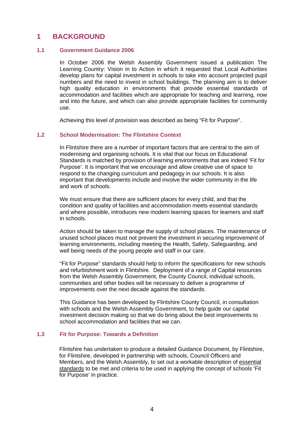## **1 BACKGROUND**

#### **1.1 Government Guidance 2006**

In October 2006 the Welsh Assembly Government issued a publication The Learning Country: Vision in to Action in which it requested that Local Authorities develop plans for capital investment in schools to take into account projected pupil numbers and the need to invest in school buildings. The planning aim is to deliver high quality education in environments that provide essential standards of accommodation and facilities which are appropriate for teaching and learning, now and into the future, and which can also provide appropriate facilities for community use.

Achieving this level of provision was described as being "Fit for Purpose".

#### **1.2 School Modernisation: The Flintshire Context**

In Flintshire there are a number of important factors that are central to the aim of modernising and organising schools. It is vital that our focus on Educational Standards is matched by provision of learning environments that are indeed 'Fit for Purpose'. It is important that we encourage and allow creative use of space to respond to the changing curriculum and pedagogy in our schools. It is also important that developments include and involve the wider community in the life and work of schools.

We must ensure that there are sufficient places for every child, and that the condition and quality of facilities and accommodation meets essential standards and where possible, introduces new modern learning spaces for learners and staff in schools.

Action should be taken to manage the supply of school places. The maintenance of unused school places must not prevent the investment in securing improvement of learning environments, including meeting the Health, Safety, Safeguarding, and well being needs of the young people and staff in our care.

"Fit for Purpose" standards should help to inform the specifications for new schools and refurbishment work in Flintshire. Deployment of a range of Capital resources from the Welsh Assembly Government, the County Council, individual schools, communities and other bodies will be necessary to deliver a programme of improvements over the next decade against the standards.

This Guidance has been developed by Flintshire County Council, in consultation with schools and the Welsh Assembly Government, to help guide our capital investment decision making so that we do bring about the best improvements to school accommodation and facilities that we can.

#### **1.3 Fit for Purpose: Towards a Definition**

Flintshire has undertaken to produce a detailed Guidance Document, by Flintshire, for Flintshire, developed in partnership with schools, Council Officers and Members, and the Welsh Assembly, to set out a workable description of essential standards to be met and criteria to be used in applying the concept of schools 'Fit for Purpose' in practice.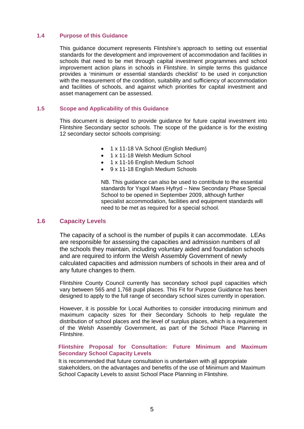#### **1.4 Purpose of this Guidance**

This guidance document represents Flintshire's approach to setting out essential standards for the development and improvement of accommodation and facilities in schools that need to be met through capital investment programmes and school improvement action plans in schools in Flintshire. In simple terms this guidance provides a 'minimum or essential standards checklist' to be used in conjunction with the measurement of the condition, suitability and sufficiency of accommodation and facilities of schools, and against which priorities for capital investment and asset management can be assessed.

#### **1.5 Scope and Applicability of this Guidance**

This document is designed to provide guidance for future capital investment into Flintshire Secondary sector schools. The scope of the guidance is for the existing 12 secondary sector schools comprising:

- 1 x 11-18 VA School (English Medium)
- 1 x 11-18 Welsh Medium School
- 1 x 11-16 English Medium School
- 9 x 11-18 English Medium Schools

NB. This guidance can also be used to contribute to the essential standards for Ysgol Maes Hyfryd – New Secondary Phase Special School to be opened in September 2009, although further specialist accommodation, facilities and equipment standards will need to be met as required for a special school.

#### **1.6 Capacity Levels**

The capacity of a school is the number of pupils it can accommodate. LEAs are responsible for assessing the capacities and admission numbers of all the schools they maintain, including voluntary aided and foundation schools and are required to inform the Welsh Assembly Government of newly calculated capacities and admission numbers of schools in their area and of any future changes to them.

Flintshire County Council currently has secondary school pupil capacities which vary between 565 and 1,768 pupil places. This Fit for Purpose Guidance has been designed to apply to the full range of secondary school sizes currently in operation.

However, it is possible for Local Authorities to consider introducing minimum and maximum capacity sizes for their Secondary Schools to help regulate the distribution of school places and the level of surplus places, which is a requirement of the Welsh Assembly Government, as part of the School Place Planning in Flintshire.

#### **Flintshire Proposal for Consultation: Future Minimum and Maximum Secondary School Capacity Levels**

It is recommended that future consultation is undertaken with all appropriate stakeholders, on the advantages and benefits of the use of Minimum and Maximum School Capacity Levels to assist School Place Planning in Flintshire.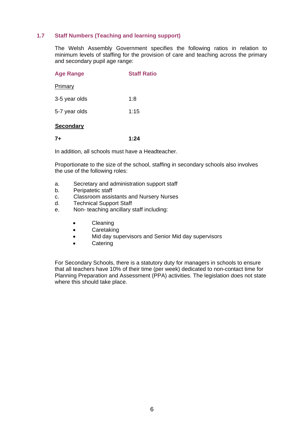#### **1.7 Staff Numbers (Teaching and learning support)**

The Welsh Assembly Government specifies the following ratios in relation to minimum levels of staffing for the provision of care and teaching across the primary and secondary pupil age range:

| <b>Age Range</b> | <b>Staff Ratio</b> |
|------------------|--------------------|
| Primary          |                    |
| 3-5 year olds    | 1:8                |
| 5-7 year olds    | 1:15               |
| <b>Secondary</b> |                    |

**7+ 1:24** 

In addition, all schools must have a Headteacher.

Proportionate to the size of the school, staffing in secondary schools also involves the use of the following roles:

- a. Secretary and administration support staff
- b. Peripatetic staff
- c. Classroom assistants and Nursery Nurses
- d. Technical Support Staff
- e. Non- teaching ancillary staff including:
	- Cleaning
	- Caretaking
	- Mid day supervisors and Senior Mid day supervisors
	- Catering

For Secondary Schools, there is a statutory duty for managers in schools to ensure that all teachers have 10% of their time (per week) dedicated to non-contact time for Planning Preparation and Assessment (PPA) activities. The legislation does not state where this should take place.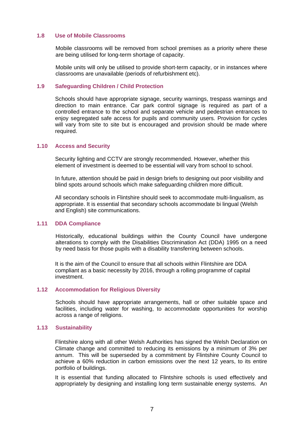#### **1.8 Use of Mobile Classrooms**

Mobile classrooms will be removed from school premises as a priority where these are being utilised for long-term shortage of capacity.

Mobile units will only be utilised to provide short-term capacity, or in instances where classrooms are unavailable (periods of refurbishment etc).

#### **1.9 Safeguarding Children / Child Protection**

Schools should have appropriate signage, security warnings, trespass warnings and direction to main entrance. Car park control signage is required as part of a controlled entrance to the school and separate vehicle and pedestrian entrances to enjoy segregated safe access for pupils and community users. Provision for cycles will vary from site to site but is encouraged and provision should be made where required.

#### **1.10 Access and Security**

Security lighting and CCTV are strongly recommended. However, whether this element of investment is deemed to be essential will vary from school to school.

In future, attention should be paid in design briefs to designing out poor visibility and blind spots around schools which make safeguarding children more difficult.

All secondary schools in Flintshire should seek to accommodate multi-lingualism, as appropriate. It is essential that secondary schools accommodate bi lingual (Welsh and English) site communications.

#### **1.11 DDA Compliance**

Historically, educational buildings within the County Council have undergone alterations to comply with the Disabilities Discrimination Act (DDA) 1995 on a need by need basis for those pupils with a disability transferring between schools.

It is the aim of the Council to ensure that all schools within Flintshire are DDA compliant as a basic necessity by 2016, through a rolling programme of capital investment.

#### **1.12 Accommodation for Religious Diversity**

Schools should have appropriate arrangements, hall or other suitable space and facilities, including water for washing, to accommodate opportunities for worship across a range of religions.

#### **1.13 Sustainability**

Flintshire along with all other Welsh Authorities has signed the Welsh Declaration on Climate change and committed to reducing its emissions by a minimum of 3% per annum. This will be superseded by a commitment by Flintshire County Council to achieve a 60% reduction in carbon emissions over the next 12 years, to its entire portfolio of buildings.

It is essential that funding allocated to Flintshire schools is used effectively and appropriately by designing and installing long term sustainable energy systems. An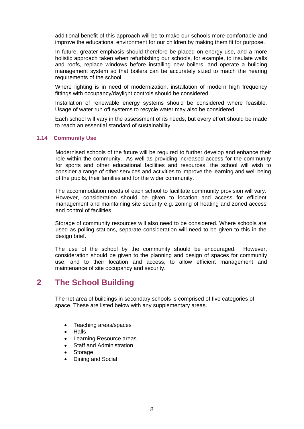additional benefit of this approach will be to make our schools more comfortable and improve the educational environment for our children by making them fit for purpose.

In future, greater emphasis should therefore be placed on energy use, and a more holistic approach taken when refurbishing our schools, for example, to insulate walls and roofs, replace windows before installing new boilers, and operate a building management system so that boilers can be accurately sized to match the hearing requirements of the school.

Where lighting is in need of modernization, installation of modern high frequency fittings with occupancy/daylight controls should be considered.

Installation of renewable energy systems should be considered where feasible. Usage of water run off systems to recycle water may also be considered.

Each school will vary in the assessment of its needs, but every effort should be made to reach an essential standard of sustainability.

#### **1.14 Community Use**

 Modernised schools of the future will be required to further develop and enhance their role within the community. As well as providing increased access for the community for sports and other educational facilities and resources, the school will wish to consider a range of other services and activities to improve the learning and well being of the pupils, their families and for the wider community.

The accommodation needs of each school to facilitate community provision will vary. However, consideration should be given to location and access for efficient management and maintaining site security e.g. zoning of heating and zoned access and control of facilities.

Storage of community resources will also need to be considered. Where schools are used as polling stations, separate consideration will need to be given to this in the design brief.

The use of the school by the community should be encouraged. However, consideration should be given to the planning and design of spaces for community use, and to their location and access, to allow efficient management and maintenance of site occupancy and security.

## **2 The School Building**

The net area of buildings in secondary schools is comprised of five categories of space. These are listed below with any supplementary areas.

- Teaching areas/spaces
- Halls
- Learning Resource areas
- Staff and Administration
- Storage
- Dining and Social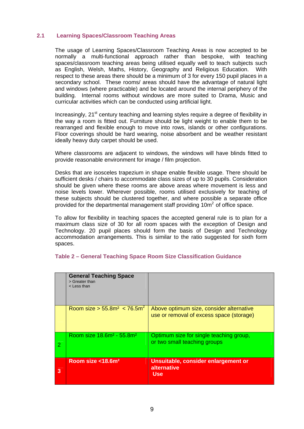#### **2.1 Learning Spaces/Classroom Teaching Areas**

The usage of Learning Spaces/Classroom Teaching Areas is now accepted to be normally a multi-functional approach rather than bespoke, with teaching spaces/classroom teaching areas being utilised equally well to teach subjects such as English, Welsh, Maths, History, Geography and Religious Education. With respect to these areas there should be a minimum of 3 for every 150 pupil places in a secondary school. These rooms/ areas should have the advantage of natural light and windows (where practicable) and be located around the internal periphery of the building. Internal rooms without windows are more suited to Drama, Music and curricular activities which can be conducted using artificial light.

Increasingly,  $21<sup>st</sup>$  century teaching and learning styles require a degree of flexibility in the way a room is fitted out. Furniture should be light weight to enable them to be rearranged and flexible enough to move into rows, islands or other configurations. Floor coverings should be hard wearing, noise absorbent and be weather resistant ideally heavy duty carpet should be used.

Where classrooms are adjacent to windows, the windows will have blinds fitted to provide reasonable environment for image / film projection.

Desks that are isosceles trapezium in shape enable flexible usage. There should be sufficient desks / chairs to accommodate class sizes of up to 30 pupils. Consideration should be given where these rooms are above areas where movement is less and noise levels lower. Wherever possible, rooms utilised exclusively for teaching of these subjects should be clustered together, and where possible a separate office provided for the departmental management staff providing  $10<sup>m²</sup>$  of office space.

To allow for flexibility in teaching spaces the accepted general rule is to plan for a maximum class size of 30 for all room spaces with the exception of Design and Technology. 20 pupil places should form the basis of Design and Technology accommodation arrangements. This is similar to the ratio suggested for sixth form spaces.

|                | <b>General Teaching Space</b><br>> Greater than<br>< Less than |                                                                                      |
|----------------|----------------------------------------------------------------|--------------------------------------------------------------------------------------|
|                | Room size > 55.8m <sup>2</sup> < 76.5m <sup>2</sup>            | Above optimum size, consider alternative<br>use or removal of excess space (storage) |
| $\overline{2}$ | Room size 18.6m <sup>2</sup> - 55.8m <sup>2</sup>              | Optimum size for single teaching group,<br>or two small teaching groups              |
| 3              | Room size <18.6m <sup>2</sup>                                  | Unsuitable, consider enlargement or<br>alternative<br><b>Use</b>                     |

#### **Table 2 – General Teaching Space Room Size Classification Guidance**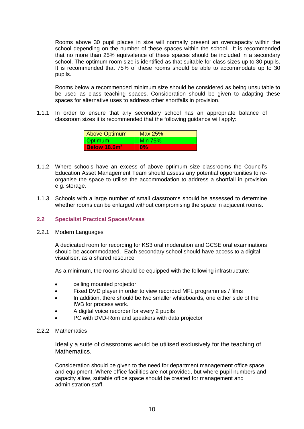Rooms above 30 pupil places in size will normally present an overcapacity within the school depending on the number of these spaces within the school. It is recommended that no more than 25% equivalence of these spaces should be included in a secondary school. The optimum room size is identified as that suitable for class sizes up to 30 pupils. It is recommended that 75% of these rooms should be able to accommodate up to 30 pupils.

Rooms below a recommended minimum size should be considered as being unsuitable to be used as class teaching spaces. Consideration should be given to adapting these spaces for alternative uses to address other shortfalls in provision.

1.1.1 In order to ensure that any secondary school has an appropriate balance of classroom sizes it is recommended that the following guidance will apply:

| Above Optimum  | Max 25%        |
|----------------|----------------|
| Optimum        | <b>Min 75%</b> |
| Below $18.6m2$ | $0\%$          |

- 1.1.2 Where schools have an excess of above optimum size classrooms the Council's Education Asset Management Team should assess any potential opportunities to reorganise the space to utilise the accommodation to address a shortfall in provision e.g. storage.
- 1.1.3 Schools with a large number of small classrooms should be assessed to determine whether rooms can be enlarged without compromising the space in adjacent rooms.

#### **2.2 Specialist Practical Spaces/Areas**

#### 2.2.1 Modern Languages

A dedicated room for recording for KS3 oral moderation and GCSE oral examinations should be accommodated. Each secondary school should have access to a digital visualiser, as a shared resource

As a minimum, the rooms should be equipped with the following infrastructure:

- ceiling mounted projector
- Fixed DVD player in order to view recorded MFL programmes / films
- In addition, there should be two smaller whiteboards, one either side of the IWB for process work.
- A digital voice recorder for every 2 pupils
- PC with DVD-Rom and speakers with data projector

#### 2.2.2 Mathematics

Ideally a suite of classrooms would be utilised exclusively for the teaching of Mathematics.

Consideration should be given to the need for department management office space and equipment. Where office facilities are not provided, but where pupil numbers and capacity allow, suitable office space should be created for management and administration staff.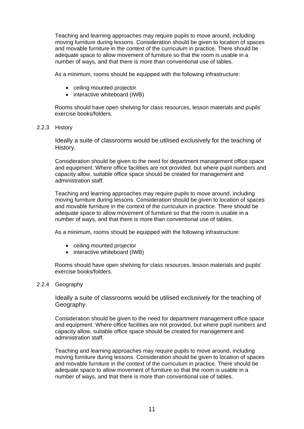Teaching and learning approaches may require pupils to move around, including moving furniture during lessons. Consideration should be given to location of spaces and movable furniture in the context of the curriculum in practice. There should be adequate space to allow movement of furniture so that the room is usable in a number of ways, and that there is more than conventional use of tables.

As a minimum, rooms should be equipped with the following infrastructure:

- ceiling mounted projector
- interactive whiteboard (IWB)

Rooms should have open shelving for class resources, lesson materials and pupils' exercise books/folders.

2.2.3 History

Ideally a suite of classrooms would be utilised exclusively for the teaching of History.

Consideration should be given to the need for department management office space and equipment. Where office facilities are not provided, but where pupil numbers and capacity allow, suitable office space should be created for management and administration staff.

Teaching and learning approaches may require pupils to move around, including moving furniture during lessons. Consideration should be given to location of spaces and movable furniture in the context of the curriculum in practice. There should be adequate space to allow movement of furniture so that the room is usable in a number of ways, and that there is more than conventional use of tables.

As a minimum, rooms should be equipped with the following infrastructure:

- ceiling mounted projector
- interactive whiteboard (IWB)

Rooms should have open shelving for class resources, lesson materials and pupils' exercise books/folders.

2.2.4 Geography

Ideally a suite of classrooms would be utilised exclusively for the teaching of Geography.

Consideration should be given to the need for department management office space and equipment. Where office facilities are not provided, but where pupil numbers and capacity allow, suitable office space should be created for management and administration staff.

Teaching and learning approaches may require pupils to move around, including moving furniture during lessons. Consideration should be given to location of spaces and movable furniture in the context of the curriculum in practice. There should be adequate space to allow movement of furniture so that the room is usable in a number of ways, and that there is more than conventional use of tables.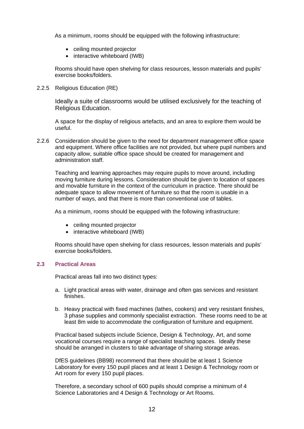As a minimum, rooms should be equipped with the following infrastructure:

- ceiling mounted projector
- interactive whiteboard (IWB)

Rooms should have open shelving for class resources, lesson materials and pupils' exercise books/folders.

2.2.5 Religious Education (RE)

Ideally a suite of classrooms would be utilised exclusively for the teaching of Religious Education.

A space for the display of religious artefacts, and an area to explore them would be useful.

2.2.6 Consideration should be given to the need for department management office space and equipment. Where office facilities are not provided, but where pupil numbers and capacity allow, suitable office space should be created for management and administration staff.

Teaching and learning approaches may require pupils to move around, including moving furniture during lessons. Consideration should be given to location of spaces and movable furniture in the context of the curriculum in practice. There should be adequate space to allow movement of furniture so that the room is usable in a number of ways, and that there is more than conventional use of tables.

As a minimum, rooms should be equipped with the following infrastructure:

- ceiling mounted projector
- interactive whiteboard (IWB)

Rooms should have open shelving for class resources, lesson materials and pupils' exercise books/folders.

#### **2.3 Practical Areas**

Practical areas fall into two distinct types:

- a. Light practical areas with water, drainage and often gas services and resistant finishes.
- b. Heavy practical with fixed machines (lathes, cookers) and very resistant finishes, 3 phase supplies and commonly specialist extraction. These rooms need to be at least 8m wide to accommodate the configuration of furniture and equipment.

Practical based subjects include Science, Design & Technology, Art, and some vocational courses require a range of specialist teaching spaces. Ideally these should be arranged in clusters to take advantage of sharing storage areas.

DfES guidelines (BB98) recommend that there should be at least 1 Science Laboratory for every 150 pupil places and at least 1 Design & Technology room or Art room for every 150 pupil places.

Therefore, a secondary school of 600 pupils should comprise a minimum of 4 Science Laboratories and 4 Design & Technology or Art Rooms.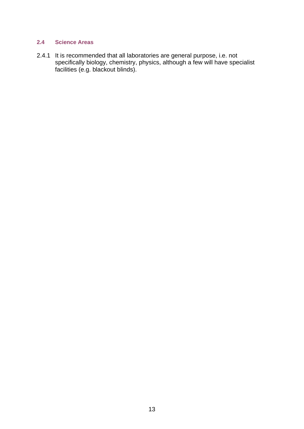### **2.4 Science Areas**

2.4.1 It is recommended that all laboratories are general purpose, i.e. not specifically biology, chemistry, physics, although a few will have specialist facilities (e.g. blackout blinds).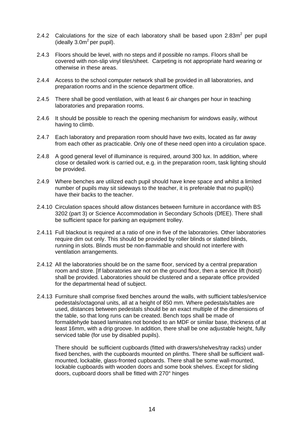- 2.4.2 Calculations for the size of each laboratory shall be based upon  $2.83m^2$  per pupil (ideally  $3.0<sup>2</sup>$  per pupil).
- 2.4.3 Floors should be level, with no steps and if possible no ramps. Floors shall be covered with non-slip vinyl tiles/sheet. Carpeting is not appropriate hard wearing or otherwise in these areas.
- 2.4.4 Access to the school computer network shall be provided in all laboratories, and preparation rooms and in the science department office.
- 2.4.5 There shall be good ventilation, with at least 6 air changes per hour in teaching laboratories and preparation rooms.
- 2.4.6 It should be possible to reach the opening mechanism for windows easily, without having to climb.
- 2.4.7 Each laboratory and preparation room should have two exits, located as far away from each other as practicable. Only one of these need open into a circulation space.
- 2.4.8 A good general level of illuminance is required, around 300 lux. In addition, where close or detailed work is carried out, e.g. in the preparation room, task lighting should be provided.
- 2.4.9 Where benches are utilized each pupil should have knee space and whilst a limited number of pupils may sit sideways to the teacher, it is preferable that no pupil(s) have their backs to the teacher.
- 2.4.10 Circulation spaces should allow distances between furniture in accordance with BS 3202 (part 3) or Science Accommodation in Secondary Schools (DfEE). There shall be sufficient space for parking an equipment trolley.
- 2.4.11 Full blackout is required at a ratio of one in five of the laboratories. Other laboratories require dim out only. This should be provided by roller blinds or slatted blinds, running in slots. Blinds must be non-flammable and should not interfere with ventilation arrangements.
- 2.4.12 All the laboratories should be on the same floor, serviced by a central preparation room and store. [If laboratories are not on the ground floor, then a service lift (hoist) shall be provided. Laboratories should be clustered and a separate office provided for the departmental head of subject.
- 2.4.13 Furniture shall comprise fixed benches around the walls, with sufficient tables/service pedestals/octagonal units, all at a height of 850 mm. Where pedestals/tables are used, distances between pedestals should be an exact multiple of the dimensions of the table, so that long runs can be created. Bench tops shall be made of formaldehyde based laminates not bonded to an MDF or similar base, thickness of at least 16mm, with a drip groove. In addition, there shall be one adjustable height, fully serviced table (for use by disabled pupils).

There should be sufficient cupboards (fitted with drawers/shelves/tray racks) under fixed benches, with the cupboards mounted on plinths. There shall be sufficient wallmounted, lockable, glass-fronted cupboards. There shall be some wall-mounted, lockable cupboards with wooden doors and some book shelves. Except for sliding doors, cupboard doors shall be fitted with 270° hinges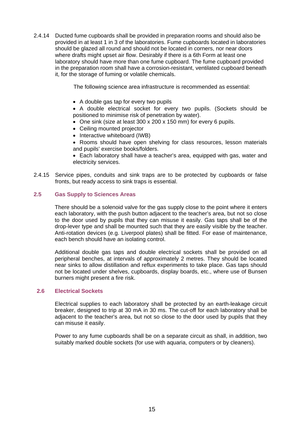2.4.14 Ducted fume cupboards shall be provided in preparation rooms and should also be provided in at least 1 in 3 of the laboratories. Fume cupboards located in laboratories should be glazed all round and should not be located in corners, nor near doors where drafts might upset air flow. Desirably if there is a 6th Form at least one laboratory should have more than one fume cupboard. The fume cupboard provided in the preparation room shall have a corrosion-resistant, ventilated cupboard beneath it, for the storage of fuming or volatile chemicals.

The following science area infrastructure is recommended as essential:

• A double gas tap for every two pupils

• A double electrical socket for every two pupils. (Sockets should be positioned to minimise risk of penetration by water).

- One sink (size at least 300 x 200 x 150 mm) for every 6 pupils.
- Ceiling mounted projector
- Interactive whiteboard (IWB)
- Rooms should have open shelving for class resources, lesson materials and pupils' exercise books/folders.
- Each laboratory shall have a teacher's area, equipped with gas, water and electricity services.
- 2.4.15 Service pipes, conduits and sink traps are to be protected by cupboards or false fronts, but ready access to sink traps is essential.

#### **2.5 Gas Supply to Sciences Areas**

There should be a solenoid valve for the gas supply close to the point where it enters each laboratory, with the push button adjacent to the teacher's area, but not so close to the door used by pupils that they can misuse it easily. Gas taps shall be of the drop-lever type and shall be mounted such that they are easily visible by the teacher. Anti-rotation devices (e.g. Liverpool plates) shall be fitted. For ease of maintenance, each bench should have an isolating control.

Additional double gas taps and double electrical sockets shall be provided on all peripheral benches, at intervals of approximately 2 metres. They should be located near sinks to allow distillation and reflux experiments to take place. Gas taps should not be located under shelves, cupboards, display boards, etc., where use of Bunsen burners might present a fire risk.

#### **2.6 Electrical Sockets**

Electrical supplies to each laboratory shall be protected by an earth-leakage circuit breaker, designed to trip at 30 mA in 30 ms. The cut-off for each laboratory shall be adjacent to the teacher's area, but not so close to the door used by pupils that they can misuse it easily.

Power to any fume cupboards shall be on a separate circuit as shall, in addition, two suitably marked double sockets (for use with aquaria, computers or by cleaners).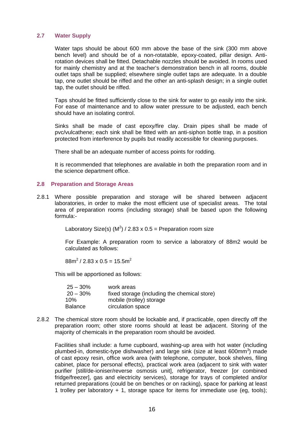#### **2.7 Water Supply**

Water taps should be about 600 mm above the base of the sink (300 mm above bench level) and should be of a non-rotatable, epoxy-coated, pillar design. Antirotation devices shall be fitted. Detachable nozzles should be avoided. In rooms used for mainly chemistry and at the teacher's demonstration bench in all rooms, double outlet taps shall be supplied; elsewhere single outlet taps are adequate. In a double tap, one outlet should be riffed and the other an anti-splash design; in a single outlet tap, the outlet should be riffed.

Taps should be fitted sufficiently close to the sink for water to go easily into the sink. For ease of maintenance and to allow water pressure to be adjusted, each bench should have an isolating control.

Sinks shall be made of cast epoxy/fire clay. Drain pipes shall be made of pvc/vulcathene; each sink shall be fitted with an anti-siphon bottle trap, in a position protected from interference by pupils but readily accessible for cleaning purposes.

There shall be an adequate number of access points for rodding.

It is recommended that telephones are available in both the preparation room and in the science department office.

#### **2.8 Preparation and Storage Areas**

2.8.1 Where possible preparation and storage will be shared between adjacent laboratories, in order to make the most efficient use of specialist areas. The total area of preparation rooms (including storage) shall be based upon the following formula:-

Laboratory Size(s) (M<sup>2</sup>) / 2.83 x 0.5 = Preparation room size

For Example: A preparation room to service a laboratory of 88m2 would be calculated as follows:

 $88m^2/2.83 \times 0.5 = 15.5m^2$ 

This will be apportioned as follows:

| $25 - 30\%$    | work areas                                   |
|----------------|----------------------------------------------|
| $20 - 30\%$    | fixed storage (including the chemical store) |
| 10%            | mobile (trolley) storage                     |
| <b>Balance</b> | circulation space                            |

2.8.2 The chemical store room should be lockable and, if practicable, open directly off the preparation room; other store rooms should at least be adjacent. Storing of the majority of chemicals in the preparation room should be avoided.

Facilities shall include: a fume cupboard, washing-up area with hot water (including plumbed-in, domestic-type dishwasher) and large sink (size at least 600mm<sup>3</sup>) made of cast epoxy resin, office work area (with telephone, computer, book shelves, filing cabinet, place for personal effects), practical work area (adjacent to sink with water purifier [still/de-ioniser/reverse osmosis unit], refrigerator, freezer [or combined fridge/freezer], gas and electricity services), storage for trays of completed and/or returned preparations (could be on benches or on racking), space for parking at least 1 trolley per laboratory + 1, storage space for items for immediate use (eg, tools);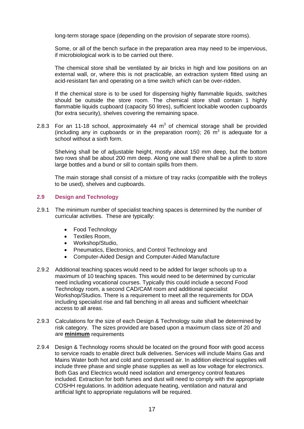long-term storage space (depending on the provision of separate store rooms).

Some, or all of the bench surface in the preparation area may need to be impervious, if microbiological work is to be carried out there.

The chemical store shall be ventilated by air bricks in high and low positions on an external wall, or, where this is not practicable, an extraction system fitted using an acid-resistant fan and operating on a time switch which can be over-ridden.

If the chemical store is to be used for dispensing highly flammable liquids, switches should be outside the store room. The chemical store shall contain 1 highly flammable liquids cupboard (capacity 50 litres), sufficient lockable wooden cupboards (for extra security), shelves covering the remaining space.

2.8.3 For an 11-18 school, approximately 44  $m<sup>3</sup>$  of chemical storage shall be provided (including any in cupboards or in the preparation room); 26  $\mathrm{m}^3$  is adequate for a school without a sixth form.

Shelving shall be of adjustable height, mostly about 150 mm deep, but the bottom two rows shall be about 200 mm deep. Along one wall there shall be a plinth to store large bottles and a bund or sill to contain spills from them.

The main storage shall consist of a mixture of tray racks (compatible with the trolleys to be used), shelves and cupboards.

#### **2.9 Design and Technology**

- 2.9.1 The minimum number of specialist teaching spaces is determined by the number of curricular activities. These are typically:
	- Food Technology
	- Textiles Room,
	- Workshop/Studio,
	- Pneumatics, Electronics, and Control Technology and
	- Computer-Aided Design and Computer-Aided Manufacture
- 2.9.2 Additional teaching spaces would need to be added for larger schools up to a maximum of 10 teaching spaces. This would need to be determined by curricular need including vocational courses. Typically this could include a second Food Technology room, a second CAD/CAM room and additional specialist Workshop/Studios. There is a requirement to meet all the requirements for DDA including specialist rise and fall benching in all areas and sufficient wheelchair access to all areas.
- 2.9.3 Calculations for the size of each Design & Technology suite shall be determined by risk category. The sizes provided are based upon a maximum class size of 20 and are **minimum** requirements
- 2.9.4 Design & Technology rooms should be located on the ground floor with good access to service roads to enable direct bulk deliveries. Services will include Mains Gas and Mains Water both hot and cold and compressed air. In addition electrical supplies will include three phase and single phase supplies as well as low voltage for electronics. Both Gas and Electrics would need isolation and emergency control features included. Extraction for both fumes and dust will need to comply with the appropriate COSHH regulations. In addition adequate heating, ventilation and natural and artificial light to appropriate regulations will be required.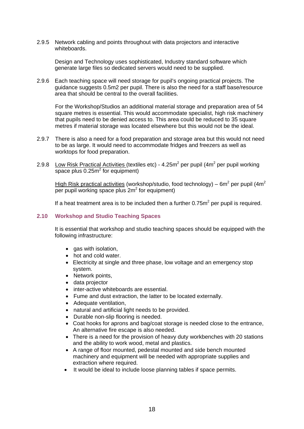2.9.5 Network cabling and points throughout with data projectors and interactive whiteboards.

Design and Technology uses sophisticated, Industry standard software which generate large files so dedicated servers would need to be supplied.

2.9.6 Each teaching space will need storage for pupil's ongoing practical projects. The guidance suggests 0.5m2 per pupil. There is also the need for a staff base/resource area that should be central to the overall facilities.

For the Workshop/Studios an additional material storage and preparation area of 54 square metres is essential. This would accommodate specialist, high risk machinery that pupils need to be denied access to. This area could be reduced to 35 square metres if material storage was located elsewhere but this would not be the ideal.

- 2.9.7 There is also a need for a food preparation and storage area but this would not need to be as large. It would need to accommodate fridges and freezers as well as worktops for food preparation.
- 2.9.8 Low Risk Practical Activities (textiles etc) 4.25m<sup>2</sup> per pupil (4m<sup>2</sup> per pupil working space plus  $0.25m^2$  for equipment)

High Risk practical activities (workshop/studio, food technology) – 6m<sup>2</sup> per pupil (4m<sup>2</sup> per pupil working space plus  $2m^2$  for equipment)

If a heat treatment area is to be included then a further  $0.75m^2$  per pupil is required.

#### **2.10 Workshop and Studio Teaching Spaces**

It is essential that workshop and studio teaching spaces should be equipped with the following infrastructure:

- gas with isolation.
- hot and cold water.
- Electricity at single and three phase, low voltage and an emergency stop system.
- Network points,
- data projector
- inter-active whiteboards are essential.
- Fume and dust extraction, the latter to be located externally.
- Adequate ventilation,
- natural and artificial light needs to be provided.
- Durable non-slip flooring is needed.
- Coat hooks for aprons and bag/coat storage is needed close to the entrance, An alternative fire escape is also needed.
- There is a need for the provision of heavy duty workbenches with 20 stations and the ability to work wood, metal and plastics.
- A range of floor mounted, pedestal mounted and side bench mounted machinery and equipment will be needed with appropriate supplies and extraction where required.
- It would be ideal to include loose planning tables if space permits.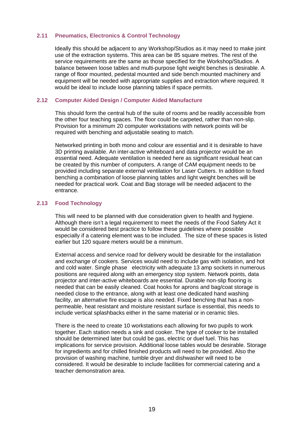#### **2.11 Pneumatics, Electronics & Control Technology**

Ideally this should be adjacent to any Workshop/Studios as it may need to make joint use of the extraction systems. This area can be 85 square metres. The rest of the service requirements are the same as those specified for the Workshop/Studios. A balance between loose tables and multi-purpose light weight benches is desirable. A range of floor mounted, pedestal mounted and side bench mounted machinery and equipment will be needed with appropriate supplies and extraction where required. It would be ideal to include loose planning tables if space permits.

#### **2.12 Computer Aided Design / Computer Aided Manufacture**

This should form the central hub of the suite of rooms and be readily accessible from the other four teaching spaces. The floor could be carpeted, rather than non-slip. Provision for a minimum 20 computer workstations with network points will be required with benching and adjustable seating to match.

Networked printing in both mono and colour are essential and it is desirable to have 3D printing available. An inter-active whiteboard and data projector would be an essential need. Adequate ventilation is needed here as significant residual heat can be created by this number of computers. A range of CAM equipment needs to be provided including separate external ventilation for Laser Cutters. In addition to fixed benching a combination of loose planning tables and light weight benches will be needed for practical work. Coat and Bag storage will be needed adjacent to the entrance.

#### **2.13 Food Technology**

This will need to be planned with due consideration given to health and hygiene. Although there isn't a legal requirement to meet the needs of the Food Safety Act it would be considered best practice to follow these guidelines where possible especially if a catering element was to be included. The size of these spaces is listed earlier but 120 square meters would be a minimum.

External access and service road for delivery would be desirable for the installation and exchange of cookers. Services would need to include gas with isolation, and hot and cold water. Single phase electricity with adequate 13 amp sockets in numerous positions are required along with an emergency stop system. Network points, data projector and inter-active whiteboards are essential. Durable non-slip flooring is needed that can be easily cleaned. Coat hooks for aprons and bag/coat storage is needed close to the entrance, along with at least one dedicated hand washing facility, an alternative fire escape is also needed. Fixed benching that has a nonpermeable, heat resistant and moisture resistant surface is essential, this needs to include vertical splashbacks either in the same material or in ceramic tiles.

There is the need to create 10 workstations each allowing for two pupils to work together. Each station needs a sink and cooker. The type of cooker to be installed should be determined later but could be gas, electric or duel fuel. This has implications for service provision. Additional loose tables would be desirable. Storage for ingredients and for chilled finished products will need to be provided. Also the provision of washing machine, tumble dryer and dishwasher will need to be considered. It would be desirable to include facilities for commercial catering and a teacher demonstration area.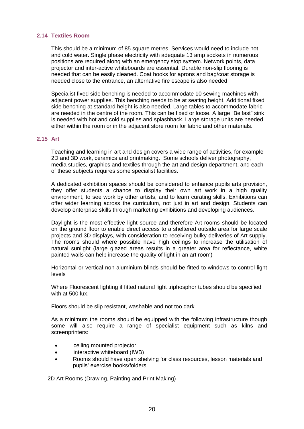#### **2.14 Textiles Room**

This should be a minimum of 85 square metres. Services would need to include hot and cold water. Single phase electricity with adequate 13 amp sockets in numerous positions are required along with an emergency stop system. Network points, data projector and inter-active whiteboards are essential. Durable non-slip flooring is needed that can be easily cleaned. Coat hooks for aprons and bag/coat storage is needed close to the entrance, an alternative fire escape is also needed.

Specialist fixed side benching is needed to accommodate 10 sewing machines with adjacent power supplies. This benching needs to be at seating height. Additional fixed side benching at standard height is also needed. Large tables to accommodate fabric are needed in the centre of the room. This can be fixed or loose. A large "Belfast" sink is needed with hot and cold supplies and splashback. Large storage units are needed either within the room or in the adjacent store room for fabric and other materials.

#### **2.15 Art**

Teaching and learning in art and design covers a wide range of activities, for example 2D and 3D work, ceramics and printmaking. Some schools deliver photography, media studies, graphics and textiles through the art and design department, and each of these subjects requires some specialist facilities.

A dedicated exhibition spaces should be considered to enhance pupils arts provision, they offer students a chance to display their own art work in a high quality environment, to see work by other artists, and to learn curating skills. Exhibitions can offer wider learning across the curriculum, not just in art and design. Students can develop enterprise skills through marketing exhibitions and developing audiences.

Daylight is the most effective light source and therefore Art rooms should be located on the ground floor to enable direct access to a sheltered outside area for large scale projects and 3D displays, with consideration to receiving bulky deliveries of Art supply. The rooms should where possible have high ceilings to increase the utilisation of natural sunlight (large glazed areas results in a greater area for reflectance, white painted walls can help increase the quality of light in an art room)

Horizontal or vertical non-aluminium blinds should be fitted to windows to control light levels

Where Fluorescent lighting if fitted natural light triphosphor tubes should be specified with at 500 lux.

Floors should be slip resistant, washable and not too dark

As a minimum the rooms should be equipped with the following infrastructure though some will also require a range of specialist equipment such as kilns and screenprinters:

- ceiling mounted projector
- interactive whiteboard (IWB)
- Rooms should have open shelving for class resources, lesson materials and pupils' exercise books/folders.

2D Art Rooms (Drawing, Painting and Print Making)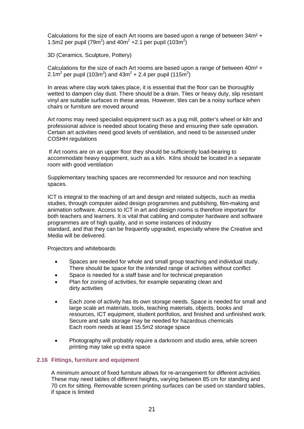Calculations for the size of each Art rooms are based upon a range of between 34m² + 1.5m2 per pupil (79m<sup>2</sup>) and 40m<sup>2</sup> + 2.1 per pupil (103m<sup>2</sup>)

3D (Ceramics, Sculpture, Pottery)

Calculations for the size of each Art rooms are based upon a range of between 40m² + 2.1m<sup>2</sup> per pupil (103m<sup>2</sup>) and 43m<sup>2</sup> + 2.4 per pupil (115m<sup>2</sup>)

In areas where clay work takes place, it is essential that the floor can be thoroughly wetted to dampen clay dust. There should be a drain. Tiles or heavy duty, slip resistant vinyl are suitable surfaces in these areas. However, tiles can be a noisy surface when chairs or furniture are moved around

Art rooms may need specialist equipment such as a pug mill, potter's wheel or kiln and professional advice is needed about locating these and ensuring their safe operation. Certain art activities need good levels of ventilation, and need to be assessed under COSHH regulations

If Art rooms are on an upper floor they should be sufficiently load-bearing to accommodate heavy equipment, such as a kiln. Kilns should be located in a separate room with good ventilation

Supplementary teaching spaces are recommended for resource and non teaching spaces.

ICT is integral to the teaching of art and design and related subjects, such as media studies, through computer aided design programmes and publishing, film-making and animation software. Access to ICT in art and design rooms is therefore important for both teachers and learners. It is vital that cabling and computer hardware and software programmes are of high quality, and in some instances of industry standard, and that they can be frequently upgraded, especially where the Creative and Media will be delivered.

Projectors and whiteboards

- Spaces are needed for whole and small group teaching and individual study. There should be space for the intended range of activities without conflict
- Space is needed for a staff base and for technical preparation
- Plan for zoning of activities, for example separating clean and dirty activities
- Each zone of activity has its own storage needs. Space is needed for small and large scale art materials, tools, teaching materials, objects, books and resources, ICT equipment, student portfolios, and finished and unfinished work. Secure and safe storage may be needed for hazardous chemicals Each room needs at least 15.5m2 storage space
- Photography will probably require a darkroom and studio area, while screen printing may take up extra space

#### **2.16 Fittings, furniture and equipment**

A minimum amount of fixed furniture allows for re-arrangement for different activities. These may need tables of different heights, varying between 85 cm for standing and 70 cm for sitting. Removable screen printing surfaces can be used on standard tables, if space is limited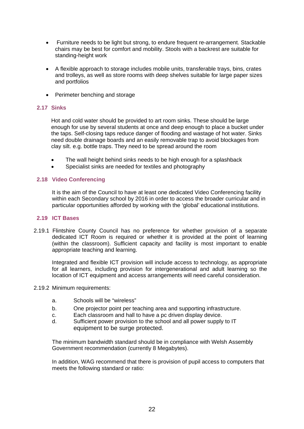- Furniture needs to be light but strong, to endure frequent re-arrangement. Stackable chairs may be best for comfort and mobility. Stools with a backrest are suitable for standing-height work
- A flexible approach to storage includes mobile units, transferable trays, bins, crates and trolleys, as well as store rooms with deep shelves suitable for large paper sizes and portfolios
- Perimeter benching and storage

#### **2.17 Sinks**

Hot and cold water should be provided to art room sinks. These should be large enough for use by several students at once and deep enough to place a bucket under the taps. Self-closing taps reduce danger of flooding and wastage of hot water. Sinks need double drainage boards and an easily removable trap to avoid blockages from clay silt. e.g. bottle traps. They need to be spread around the room

- The wall height behind sinks needs to be high enough for a splashback
- Specialist sinks are needed for textiles and photography

#### **2.18 Video Conferencing**

It is the aim of the Council to have at least one dedicated Video Conferencing facility within each Secondary school by 2016 in order to access the broader curricular and in particular opportunities afforded by working with the 'global' educational institutions.

#### **2.19 ICT Bases**

2.19.1 Flintshire County Council has no preference for whether provision of a separate dedicated ICT Room is required or whether it is provided at the point of learning (within the classroom). Sufficient capacity and facility is most important to enable appropriate teaching and learning.

Integrated and flexible ICT provision will include access to technology, as appropriate for all learners, including provision for intergenerational and adult learning so the location of ICT equipment and access arrangements will need careful consideration.

#### 2.19.2 Minimum requirements:

- a. Schools will be "wireless"
- b. One projector point per teaching area and supporting infrastructure.
- c. Each classroom and hall to have a pc driven display device.
- d. Sufficient power provision to the school and all power supply to IT equipment to be surge protected.

The minimum bandwidth standard should be in compliance with Welsh Assembly Government recommendation (currently 8 Megabytes).

In addition, WAG recommend that there is provision of pupil access to computers that meets the following standard or ratio: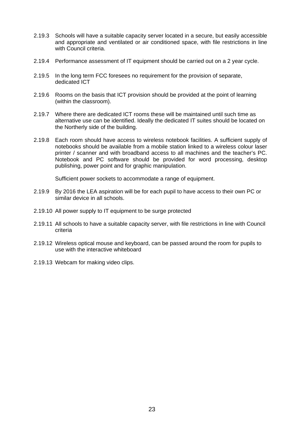- 2.19.3 Schools will have a suitable capacity server located in a secure, but easily accessible and appropriate and ventilated or air conditioned space, with file restrictions in line with Council criteria.
- 2.19.4 Performance assessment of IT equipment should be carried out on a 2 year cycle.
- 2.19.5 In the long term FCC foresees no requirement for the provision of separate, dedicated ICT
- 2.19.6 Rooms on the basis that ICT provision should be provided at the point of learning (within the classroom).
- 2.19.7 Where there are dedicated ICT rooms these will be maintained until such time as alternative use can be identified. Ideally the dedicated IT suites should be located on the Northerly side of the building.
- 2.19.8 Each room should have access to wireless notebook facilities. A sufficient supply of notebooks should be available from a mobile station linked to a wireless colour laser printer / scanner and with broadband access to all machines and the teacher's PC. Notebook and PC software should be provided for word processing, desktop publishing, power point and for graphic manipulation.

Sufficient power sockets to accommodate a range of equipment.

- 2.19.9 By 2016 the LEA aspiration will be for each pupil to have access to their own PC or similar device in all schools.
- 2.19.10 All power supply to IT equipment to be surge protected
- 2.19.11 All schools to have a suitable capacity server, with file restrictions in line with Council criteria
- 2.19.12 Wireless optical mouse and keyboard, can be passed around the room for pupils to use with the interactive whiteboard
- 2.19.13 Webcam for making video clips.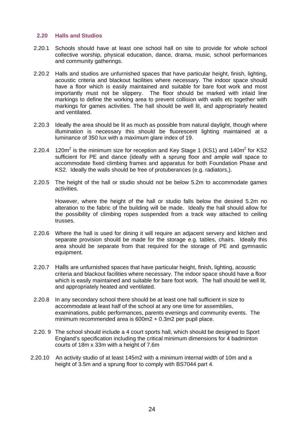#### **2.20 Halls and Studios**

- 2.20.1 Schools should have at least one school hall on site to provide for whole school collective worship, physical education, dance, drama, music, school performances and community gatherings.
- 2.20.2 Halls and studios are unfurnished spaces that have particular height, finish, lighting, acoustic criteria and blackout facilities where necessary. The indoor space should have a floor which is easily maintained and suitable for bare foot work and most importantly must not be slippery. The floor should be marked with inlaid line markings to define the working area to prevent collision with walls etc together with markings for games activities. The hall should be well lit, and appropriately heated and ventilated.
- 2.20.3 Ideally the area should be lit as much as possible from natural daylight, though where illumination is necessary this should be fluorescent lighting maintained at a luminance of 350 lux with a maximum glare index of 19.
- 2.20.4 120 $m^2$  is the minimum size for reception and Key Stage 1 (KS1) and 140 $m^2$  for KS2 sufficient for PE and dance (ideally with a sprung floor and ample wall space to accommodate fixed climbing frames and apparatus for both Foundation Phase and KS2. Ideally the walls should be free of protuberances (e.g. radiators,).
- 2.20.5 The height of the hall or studio should not be below 5.2m to accommodate games activities.

However, where the height of the hall or studio falls below the desired 5.2m no alteration to the fabric of the building will be made. Ideally the hall should allow for the possibility of climbing ropes suspended from a track way attached to ceiling trusses.

- 2.20.6 Where the hall is used for dining it will require an adjacent servery and kitchen and separate provision should be made for the storage e.g. tables, chairs. Ideally this area should be separate from that required for the storage of PE and gymnastic equipment.
- 2.20.7 Halls are unfurnished spaces that have particular height, finish, lighting, acoustic criteria and blackout facilities where necessary. The indoor space should have a floor which is easily maintained and suitable for bare foot work. The hall should be well lit, and appropriately heated and ventilated.
- 2.20.8 In any secondary school there should be at least one hall sufficient in size to accommodate at least half of the school at any one time for assemblies, examinations, public performances, parents evenings and community events. The minimum recommended area is 600m2 + 0.3m2 per pupil place.
- 2.20. 9 The school should include a 4 court sports hall, which should be designed to Sport England's specification including the critical minimum dimensions for 4 badminton courts of 18m x 33m with a height of 7.6m
- 2.20.10 An activity studio of at least 145m2 with a minimum internal width of 10m and a height of 3.5m and a sprung floor to comply with BS7044 part 4.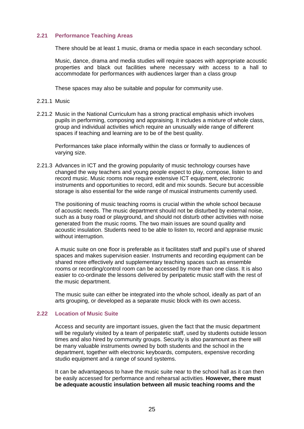#### **2.21 Performance Teaching Areas**

There should be at least 1 music, drama or media space in each secondary school.

Music, dance, drama and media studies will require spaces with appropriate acoustic properties and black out facilities where necessary with access to a hall to accommodate for performances with audiences larger than a class group

These spaces may also be suitable and popular for community use.

- 2.21.1 Music
- 2.21.2 Music in the National Curriculum has a strong practical emphasis which involves pupils in performing, composing and appraising. It includes a mixture of whole class, group and individual activities which require an unusually wide range of different spaces if teaching and learning are to be of the best quality.

Performances take place informally within the class or formally to audiences of varying size.

2.21.3 Advances in ICT and the growing popularity of music technology courses have changed the way teachers and young people expect to play, compose, listen to and record music. Music rooms now require extensive ICT equipment, electronic instruments and opportunities to record, edit and mix sounds. Secure but accessible storage is also essential for the wide range of musical instruments currently used.

The positioning of music teaching rooms is crucial within the whole school because of acoustic needs. The music department should not be disturbed by external noise, such as a busy road or playground, and should not disturb other activities with noise generated from the music rooms. The two main issues are sound quality and acoustic insulation. Students need to be able to listen to, record and appraise music without interruption.

A music suite on one floor is preferable as it facilitates staff and pupil's use of shared spaces and makes supervision easier. Instruments and recording equipment can be shared more effectively and supplementary teaching spaces such as ensemble rooms or recording/control room can be accessed by more than one class. It is also easier to co-ordinate the lessons delivered by peripatetic music staff with the rest of the music department.

The music suite can either be integrated into the whole school, ideally as part of an arts grouping, or developed as a separate music block with its own access.

#### **2.22 Location of Music Suite**

Access and security are important issues, given the fact that the music department will be regularly visited by a team of peripatetic staff, used by students outside lesson times and also hired by community groups. Security is also paramount as there will be many valuable instruments owned by both students and the school in the department, together with electronic keyboards, computers, expensive recording studio equipment and a range of sound systems.

It can be advantageous to have the music suite near to the school hall as it can then be easily accessed for performance and rehearsal activities. **However, there must be adequate acoustic insulation between all music teaching rooms and the**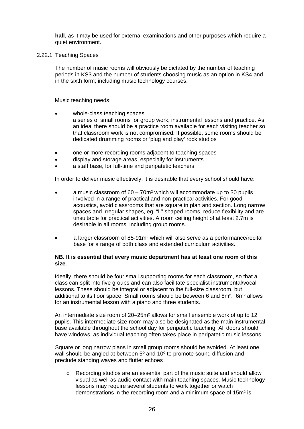**hall**, as it may be used for external examinations and other purposes which require a quiet environment.

2.22.1 Teaching Spaces

The number of music rooms will obviously be dictated by the number of teaching periods in KS3 and the number of students choosing music as an option in KS4 and in the sixth form; including music technology courses.

Music teaching needs:

- whole-class teaching spaces a series of small rooms for group work, instrumental lessons and practice. As an ideal there should be a practice room available for each visiting teacher so that classroom work is not compromised. If possible, some rooms should be dedicated drumming rooms or 'plug and play' rock studios
- one or more recording rooms adjacent to teaching spaces
- display and storage areas, especially for instruments
- a staff base, for full-time and peripatetic teachers

In order to deliver music effectively, it is desirable that every school should have:

- a music classroom of  $60 70$ m<sup>2</sup> which will accommodate up to 30 pupils involved in a range of practical and non-practical activities. For good acoustics, avoid classrooms that are square in plan and section. Long narrow spaces and irregular shapes, eg. "L" shaped rooms, reduce flexibility and are unsuitable for practical activities. A room ceiling height of at least 2.7m is desirable in all rooms, including group rooms.
- a larger classroom of 85-91m² which will also serve as a performance/recital base for a range of both class and extended curriculum activities.

#### **NB. It is essential that every music department has at least one room of this size**.

Ideally, there should be four small supporting rooms for each classroom, so that a class can split into five groups and can also facilitate specialist instrumental/vocal lessons. These should be integral or adjacent to the full-size classroom, but additional to its floor space. Small rooms should be between 6 and 8m². 6m² allows for an instrumental lesson with a piano and three students.

An intermediate size room of 20–25m² allows for small ensemble work of up to 12 pupils. This intermediate size room may also be designated as the main instrumental base available throughout the school day for peripatetic teaching. All doors should have windows, as individual teaching often takes place in peripatetic music lessons.

Square or long narrow plans in small group rooms should be avoided. At least one wall should be angled at between 5<sup>°</sup> and 10<sup>°</sup> to promote sound diffusion and preclude standing waves and flutter echoes

 $\circ$  Recording studios are an essential part of the music suite and should allow visual as well as audio contact with main teaching spaces. Music technology lessons may require several students to work together or watch demonstrations in the recording room and a minimum space of 15m² is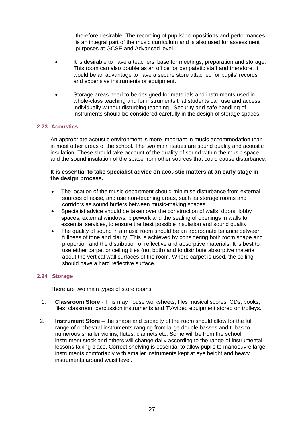therefore desirable. The recording of pupils' compositions and performances is an integral part of the music curriculum and is also used for assessment purposes at GCSE and Advanced level.

- It is desirable to have a teachers' base for meetings, preparation and storage. This room can also double as an office for peripatetic staff and therefore, it would be an advantage to have a secure store attached for pupils' records and expensive instruments or equipment.
- Storage areas need to be designed for materials and instruments used in whole-class teaching and for instruments that students can use and access individually without disturbing teaching. Security and safe handling of instruments should be considered carefully in the design of storage spaces

#### **2.23 Acoustics**

An appropriate acoustic environment is more important in music accommodation than in most other areas of the school. The two main issues are sound quality and acoustic insulation. These should take account of the quality of sound within the music space and the sound insulation of the space from other sources that could cause disturbance.

#### **It is essential to take specialist advice on acoustic matters at an early stage in the design process.**

- The location of the music department should minimise disturbance from external sources of noise, and use non-teaching areas, such as storage rooms and corridors as sound buffers between music-making spaces.
- Specialist advice should be taken over the construction of walls, doors, lobby spaces, external windows, pipework and the sealing of openings in walls for essential services, to ensure the best possible insulation and sound quality
- The quality of sound in a music room should be an appropriate balance between fullness of tone and clarity. This is achieved by considering both room shape and proportion and the distribution of reflective and absorptive materials. It is best to use either carpet or ceiling tiles (not both) and to distribute absorptive material about the vertical wall surfaces of the room. Where carpet is used, the ceiling should have a hard reflective surface.

#### **2.24 Storage**

There are two main types of store rooms.

- 1. **Classroom Store** This may house worksheets, files musical scores, CDs, books, files, classroom percussion instruments and TV/video equipment stored on trolleys.
- 2. **Instrument Store**  the shape and capacity of the room should allow for the full range of orchestral instruments ranging from large double basses and tubas to numerous smaller violins, flutes. clarinets etc. Some will be from the school instrument stock and others will change daily according to the range of instrumental lessons taking place. Correct shelving is essential to allow pupils to manoeuvre large instruments comfortably with smaller instruments kept at eye height and heavy instruments around waist level.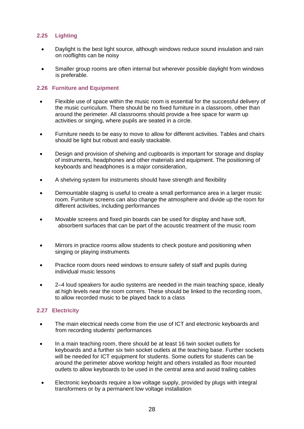### **2.25 Lighting**

- Daylight is the best light source, although windows reduce sound insulation and rain on rooflights can be noisy
- Smaller group rooms are often internal but wherever possible daylight from windows is preferable.

#### **2.26 Furniture and Equipment**

- Flexible use of space within the music room is essential for the successful delivery of the music curriculum. There should be no fixed furniture in a classroom, other than around the perimeter. All classrooms should provide a free space for warm up activities or singing, where pupils are seated in a circle.
- Furniture needs to be easy to move to allow for different activities. Tables and chairs should be light but robust and easily stackable.
- Design and provision of shelving and cupboards is important for storage and display of instruments, headphones and other materials and equipment. The positioning of keyboards and headphones is a major consideration,
- A shelving system for instruments should have strength and flexibility
- Demountable staging is useful to create a small performance area in a larger music room. Furniture screens can also change the atmosphere and divide up the room for different activities, including performances
- Movable screens and fixed pin boards can be used for display and have soft, absorbent surfaces that can be part of the acoustic treatment of the music room
- Mirrors in practice rooms allow students to check posture and positioning when singing or playing instruments
- Practice room doors need windows to ensure safety of staff and pupils during individual music lessons
- 2–4 loud speakers for audio systems are needed in the main teaching space, ideally at high levels near the room corners. These should be linked to the recording room, to allow recorded music to be played back to a class

#### **2.27 Electricity**

- The main electrical needs come from the use of ICT and electronic keyboards and from recording students' performances
- In a main teaching room, there should be at least 16 twin socket outlets for keyboards and a further six twin socket outlets at the teaching base. Further sockets will be needed for ICT equipment for students. Some outlets for students can be around the perimeter above worktop height and others installed as floor mounted outlets to allow keyboards to be used in the central area and avoid trailing cables
- Electronic keyboards require a low voltage supply, provided by plugs with integral transformers or by a permanent low voltage installation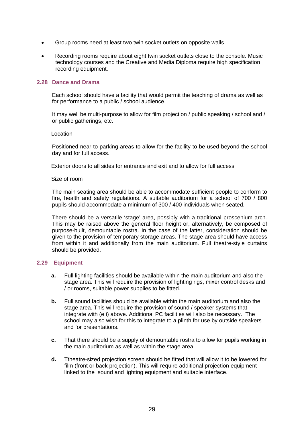- Group rooms need at least two twin socket outlets on opposite walls
- Recording rooms require about eight twin socket outlets close to the console. Music technology courses and the Creative and Media Diploma require high specification recording equipment.

#### **2.28 Dance and Drama**

Each school should have a facility that would permit the teaching of drama as well as for performance to a public / school audience.

It may well be multi-purpose to allow for film projection / public speaking / school and / or public gatherings, etc.

#### Location

Positioned near to parking areas to allow for the facility to be used beyond the school day and for full access.

Exterior doors to all sides for entrance and exit and to allow for full access

#### Size of room

The main seating area should be able to accommodate sufficient people to conform to fire, health and safety regulations. A suitable auditorium for a school of 700 / 800 pupils should accommodate a minimum of 300 / 400 individuals when seated.

There should be a versatile 'stage' area, possibly with a traditional proscenium arch. This may be raised above the general floor height or, alternatively, be composed of purpose-built, demountable rostra. In the case of the latter, consideration should be given to the provision of temporary storage areas. The stage area should have access from within it and additionally from the main auditorium. Full theatre-style curtains should be provided.

#### **2.29 Equipment**

- **a.** Full lighting facilities should be available within the main auditorium and also the stage area. This will require the provision of lighting rigs, mixer control desks and / or rooms, suitable power supplies to be fitted.
- **b.** Full sound facilities should be available within the main auditorium and also the stage area. This will require the provision of sound / speaker systems that integrate with (e i) above. Additional PC facilities will also be necessary. The school may also wish for this to integrate to a plinth for use by outside speakers and for presentations.
- **c.** That there should be a supply of demountable rostra to allow for pupils working in the main auditorium as well as within the stage area.
- **d.** Ttheatre-sized projection screen should be fitted that will allow it to be lowered for film (front or back projection). This will require additional projection equipment linked to the sound and lighting equipment and suitable interface.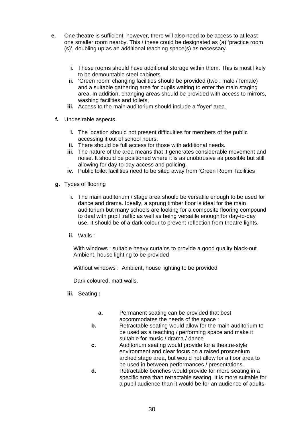- **e.** One theatre is sufficient, however, there will also need to be access to at least one smaller room nearby. This / these could be designated as (a) 'practice room (s)', doubling up as an additional teaching space(s) as necessary.
	- **i.** These rooms should have additional storage within them. This is most likely to be demountable steel cabinets.
	- **ii.** 'Green room' changing facilities should be provided (two : male / female) and a suitable gathering area for pupils waiting to enter the main staging area. In addition, changing areas should be provided with access to mirrors, washing facilities and toilets.
	- **iii.** Access to the main auditorium should include a 'foyer' area.
	- **f.** Undesirable aspects
		- **i.** The location should not present difficulties for members of the public accessing it out of school hours.
		- **ii.** There should be full access for those with additional needs.
		- **iii.** The nature of the area means that it generates considerable movement and noise. It should be positioned where it is as unobtrusive as possible but still allowing for day-to-day access and policing.
		- **iv.** Public toilet facilities need to be sited away from 'Green Room' facilities
	- **g.** Types of flooring
		- **i.** The main auditorium / stage area should be versatile enough to be used for dance and drama. Ideally, a sprung timber floor is ideal for the main auditorium but many schools are looking for a composite flooring compound to deal with pupil traffic as well as being versatile enough for day-to-day use. It should be of a dark colour to prevent reflection from theatre lights.
		- **ii.** Walls :

With windows : suitable heavy curtains to provide a good quality black-out. Ambient, house lighting to be provided

Without windows : Ambient, house lighting to be provided

Dark coloured, matt walls.

- **iii.** Seating **:** 
	- **a.** Permanent seating can be provided that best accommodates the needs of the space :
	- **b.** Retractable seating would allow for the main auditorium to be used as a teaching / performing space and make it suitable for music / drama / dance
	- **c.** Auditorium seating would provide for a theatre-style environment and clear focus on a raised proscenium arched stage area, but would not allow for a floor area to be used in between performances / presentations.
	- **d.** Retractable benches would provide for more seating in a specific area than retractable seating. It is more suitable for a pupil audience than it would be for an audience of adults.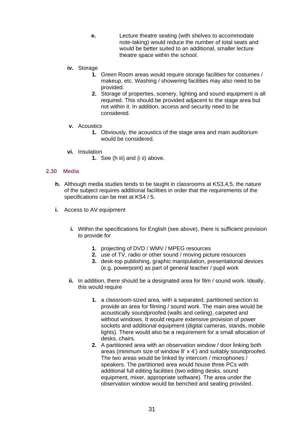- **e.** Lecture theatre seating (with shelves to accommodate note-taking) would reduce the number of total seats and would be better suited to an additional, smaller lecture theatre space within the school.
- **iv.** Storage
	- **1.** Green Room areas would require storage facilities for costumes / makeup, etc. Washing / showering facilities may also need to be provided.
	- **2.** Storage of properties, scenery, lighting and sound equipment is all required. This should be provided adjacent to the stage area but not within it. In addition, access and security need to be considered.
- **v.** Acoustics
	- **1.** Obviously, the acoustics of the stage area and main auditorium would be considered.
- **vi.** Insulation
	- **1.** See (h iii) and (i ii) above.

#### **2.30 Media**

- **h.** Although media studies tends to be taught in classrooms at KS3,4,5, the nature of the subject requires additional facilities in order that the requirements of the specifications can be met at KS4 / 5.
- **i.** Access to AV equipment
	- **i.** Within the specifications for English (see above), there is sufficient provision to provide for
		- **1.** projecting of DVD / WMV / MPEG resources
		- **2.** use of TV, radio or other sound / moving picture resources
		- **3.** desk-top publishing, graphic manipulation, presentational devices (e.g. powerpoint) as part of general teacher / pupil work
	- **ii.** In addition, there should be a designated area for film / sound work. Ideally, this would require
		- **1.** a classroom-sized area, with a separated, partitioned section to provide an area for filming / sound work. The main area would be acoustically soundproofed (walls and ceiling), carpeted and without windows. It would require extensive provision of power sockets and additional equipment (digital cameras, stands, mobile lights). There would also be a requirement for a small allocation of desks, chairs.
		- **2.** A partitioned area with an observation window / door linking both areas (minimum size of window 8' x 4') and suitably soundproofed. The two areas would be linked by intercom / microphones / speakers. The partitioned area would house three PCs with additional full editing facilities (two editing desks, sound equipment, mixer, appropriate software). The area under the observation window would be benched and seating provided.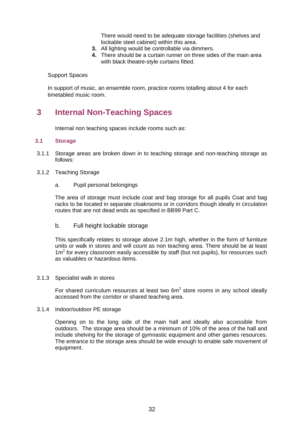There would need to be adequate storage facilities (shelves and lockable steel cabinet) within this area.

- **3.** All lighting would be controllable via dimmers.
- **4.** There should be a curtain runner on three sides of the main area with black theatre-style curtains fitted.

Support Spaces

In support of music, an ensemble room, practice rooms totalling about 4 for each timetabled music room.

# **3 Internal Non-Teaching Spaces**

Internal non teaching spaces include rooms such as:

#### **3.1 Storage**

- 3.1.1 Storage areas are broken down in to teaching storage and non-teaching storage as follows:
- 3.1.2 Teaching Storage
	- a. Pupil personal belongings

The area of storage must include coat and bag storage for all pupils Coat and bag racks to be located in separate cloakrooms or in corridors though ideally in circulation routes that are not dead ends as specified in BB99 Part C.

b. Full height lockable storage

This specifically relates to storage above 2.1m high, whether in the form of furniture units or walk in stores and will count as non teaching area. There should be at least  $1m<sup>2</sup>$  for every classroom easily accessible by staff (but not pupils), for resources such as valuables or hazardous items.

#### 3.1.3 Specialist walk in stores

For shared curriculum resources at least two  $6m<sup>2</sup>$  store rooms in any school ideally accessed from the corridor or shared teaching area.

#### 3.1.4 Indoor/outdoor PE storage

Opening on to the long side of the main hall and ideally also accessible from outdoors. The storage area should be a minimum of 10% of the area of the hall and include shelving for the storage of gymnastic equipment and other games resources. The entrance to the storage area should be wide enough to enable safe movement of equipment.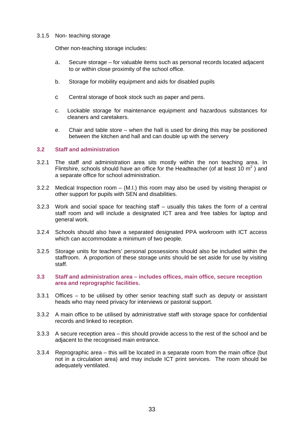#### 3.1.5 Non- teaching storage

Other non-teaching storage includes:

- a. Secure storage for valuable items such as personal records located adjacent to or within close proximity of the school office.
- b. Storage for mobility equipment and aids for disabled pupils
- c Central storage of book stock such as paper and pens.
- c. Lockable storage for maintenance equipment and hazardous substances for cleaners and caretakers.
- e. Chair and table store when the hall is used for dining this may be positioned between the kitchen and hall and can double up with the servery

#### **3.2 Staff and administration**

- 3.2.1 The staff and administration area sits mostly within the non teaching area. In Flintshire, schools should have an office for the Headteacher (of at least 10  $m^2$ ) and a separate office for school administration.
- 3.2.2 Medical Inspection room (M.I.) this room may also be used by visiting therapist or other support for pupils with SEN and disabilities.
- 3.2.3 Work and social space for teaching staff usually this takes the form of a central staff room and will include a designated ICT area and free tables for laptop and general work.
- 3.2.4 Schools should also have a separated designated PPA workroom with ICT access which can accommodate a minimum of two people.
- 3.2.5 Storage units for teachers' personal possessions should also be included within the staffroom. A proportion of these storage units should be set aside for use by visiting staff.
- **3.3 Staff and administration area includes offices, main office, secure reception area and reprographic facilities.**
- 3.3.1 Offices to be utilised by other senior teaching staff such as deputy or assistant heads who may need privacy for interviews or pastoral support.
- 3.3.2 A main office to be utilised by administrative staff with storage space for confidential records and linked to reception.
- 3.3.3 A secure reception area this should provide access to the rest of the school and be adjacent to the recognised main entrance.
- 3.3.4 Reprographic area this will be located in a separate room from the main office (but not in a circulation area) and may include ICT print services. The room should be adequately ventilated.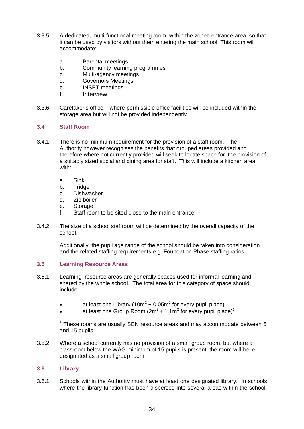- 3.3.5 A dedicated, multi-functional meeting room, within the zoned entrance area, so that it can be used by visitors without them entering the main school. This room will accommodate:
	- a. Parental meetings
	- b. Community learning programmes
	- c. Multi-agency meetings
	- d. Governors Meetings
	- e. INSET meetings
	- f. Interview
- 3.3.6 Caretaker's office where permissible office facilities will be included within the storage area but will not be provided independently.

#### **3.4 Staff Room**

- 3.4.1 There is no minimum requirement for the provision of a staff room. The Authority however recognises the benefits that grouped areas provided and therefore where not currently provided will seek to locate space for the provision of a suitably sized social and dining area for staff. This will include a kitchen area with:
	- a. Sink
	- b. Fridge
	- c. Dishwasher
	- d. Zip boiler
	- e. Storage
	- f. Staff room to be sited close to the main entrance.
- 3.4.2 The size of a school staffroom will be determined by the overall capacity of the school.

Additionally, the pupil age range of the school should be taken into consideration and the related staffing requirements e.g. Foundation Phase staffing ratios.

#### **3.5 Learning Resource Areas**

- 3.5.1 Learning resource areas are generally spaces used for informal learning and shared by the whole school. The total area for this category of space should include
	- at least one Library (10m<sup>2</sup> + 0.05m<sup>2</sup> for every pupil place)
	- at least one Group Room ( $2m^2$  + 1.1m<sup>2</sup> for every pupil place)<sup>1</sup>

 $1$  These rooms are usually SEN resource areas and may accommodate between 6 and 15 pupils.

3.5.2 Where a school currently has no provision of a small group room, but where a classroom below the WAG minimum of 15 pupils is present, the room will be redesignated as a small group room.

#### **3.6 Library**

3.6.1 Schools within the Authority must have at least one designated library. In schools where the library function has been dispersed into several areas within the school,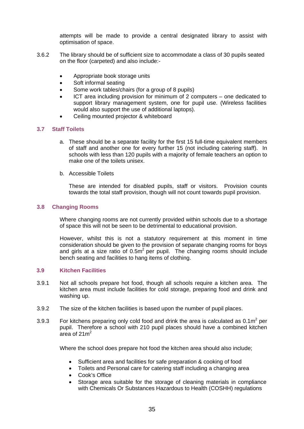attempts will be made to provide a central designated library to assist with optimisation of space.

- 3.6.2 The library should be of sufficient size to accommodate a class of 30 pupils seated on the floor (carpeted) and also include:-
	- Appropriate book storage units
	- Soft informal seating
	- Some work tables/chairs (for a group of 8 pupils)
	- ICT area including provision for minimum of 2 computers one dedicated to support library management system, one for pupil use. (Wireless facilities would also support the use of additional laptops).
	- Ceiling mounted projector & whiteboard

#### **3.7 Staff Toilets**

- a. These should be a separate facility for the first 15 full-time equivalent members of staff and another one for every further 15 (not including catering staff). In schools with less than 120 pupils with a majority of female teachers an option to make one of the toilets unisex.
- b. Accessible Toilets

These are intended for disabled pupils, staff or visitors. Provision counts towards the total staff provision, though will not count towards pupil provision.

#### **3.8 Changing Rooms**

Where changing rooms are not currently provided within schools due to a shortage of space this will not be seen to be detrimental to educational provision.

However, whilst this is not a statutory requirement at this moment in time consideration should be given to the provision of separate changing rooms for boys and girls at a size ratio of  $0.5m<sup>2</sup>$  per pupil. The changing rooms should include bench seating and facilities to hang items of clothing.

#### **3.9 Kitchen Facilities**

- 3.9.1 Not all schools prepare hot food, though all schools require a kitchen area. The kitchen area must include facilities for cold storage, preparing food and drink and washing up.
- 3.9.2 The size of the kitchen facilities is based upon the number of pupil places.
- 3.9.3 For kitchens preparing only cold food and drink the area is calculated as  $0.1\text{m}^2$  per pupil. Therefore a school with 210 pupil places should have a combined kitchen area of  $21 \text{ m}^2$

Where the school does prepare hot food the kitchen area should also include;

- Sufficient area and facilities for safe preparation & cooking of food
- Toilets and Personal care for catering staff including a changing area
- Cook's Office
- Storage area suitable for the storage of cleaning materials in compliance with Chemicals Or Substances Hazardous to Health (COSHH) regulations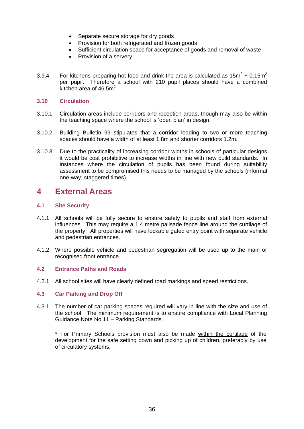- Separate secure storage for dry goods
- Provision for both refrigerated and frozen goods
- Sufficient circulation space for acceptance of goods and removal of waste
- Provision of a servery
- 3.9.4 For kitchens preparing hot food and drink the area is calculated as  $15m^2 + 0.15m^2$ per pupil. Therefore a school with 210 pupil places should have a combined kitchen area of  $46.5m<sup>2</sup>$

#### **3.10 Circulation**

- 3.10.1 Circulation areas include corridors and reception areas, though may also be within the teaching space where the school is 'open plan' in design.
- 3.10.2 Building Bulletin 99 stipulates that a corridor leading to two or more teaching spaces should have a width of at least 1.8m and shorter corridors 1.2m.
- 3.10.3 Due to the practicality of increasing corridor widths in schools of particular designs it would be cost prohibitive to increase widths in line with new build standards. In instances where the circulation of pupils has been found during suitability assessment to be compromised this needs to be managed by the schools (informal one-way, staggered times).

## **4 External Areas**

#### **4.1 Site Security**

- 4.1.1 All schools will be fully secure to ensure safety to pupils and staff from external influences. This may require a 1.4 metre palisade fence line around the curtilage of the property. All properties will have lockable gated entry point with separate vehicle and pedestrian entrances.
- 4.1.2 Where possible vehicle and pedestrian segregation will be used up to the main or recognised front entrance.

#### **4.2 Entrance Paths and Roads**

4.2.1 All school sites will have clearly defined road markings and speed restrictions.

#### **4.3 Car Parking and Drop Off**

4.3.1 The number of car parking spaces required will vary in line with the size and use of the school. The minimum requirement is to ensure compliance with Local Planning Guidance Note No 11 – Parking Standards.

\* For Primary Schools provision must also be made within the curtilage of the development for the safe setting down and picking up of children, preferably by use of circulatory systems.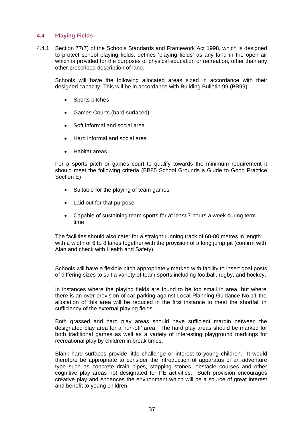#### **4.4 Playing Fields**

4.4.1 Section 77(7) of the Schools Standards and Framework Act 1998, which is designed to protect school playing fields, defines 'playing fields' as any land in the open air which is provided for the purposes of physical education or recreation, other than any other prescribed description of land.

Schools will have the following allocated areas sized in accordance with their designed capacity. This will be in accordance with Building Bulletin 99 (BB99):

- Sports pitches
- Games Courts (hard surfaced)
- Soft informal and social area
- Hard informal and social area
- Habitat areas

For a sports pitch or games court to qualify towards the minimum requirement it should meet the following criteria (BB85 School Grounds a Guide to Good Practice Section E)

- Suitable for the playing of team games
- Laid out for that purpose
- Capable of sustaining team sports for at least 7 hours a week during term time

The facilities should also cater for a straight running track of 60-80 metres in length with a width of 6 to 8 lanes together with the provision of a long jump pit (confirm with Alan and check with Health and Safety).

Schools will have a flexible pitch appropriately marked with facility to insert goal posts of differing sizes to suit a variety of team sports including football, rugby, and hockey.

In instances where the playing fields are found to be too small in area, but where there is an over provision of car parking against Local Planning Guidance No.11 the allocation of this area will be reduced in the first instance to meet the shortfall in sufficiency of the external playing fields.

Both grassed and hard play areas should have sufficient margin between the designated play area for a 'run-off' area. The hard play areas should be marked for both traditional games as well as a variety of interesting playground markings for recreational play by children in break times.

Blank hard surfaces provide little challenge or interest to young children. It would therefore be appropriate to consider the introduction of apparatus of an adventure type such as concrete drain pipes, stepping stones, obstacle courses and other cognitive play areas not designated for PE activities. Such provision encourages creative play and enhances the environment which will be a source of great interest and benefit to young children